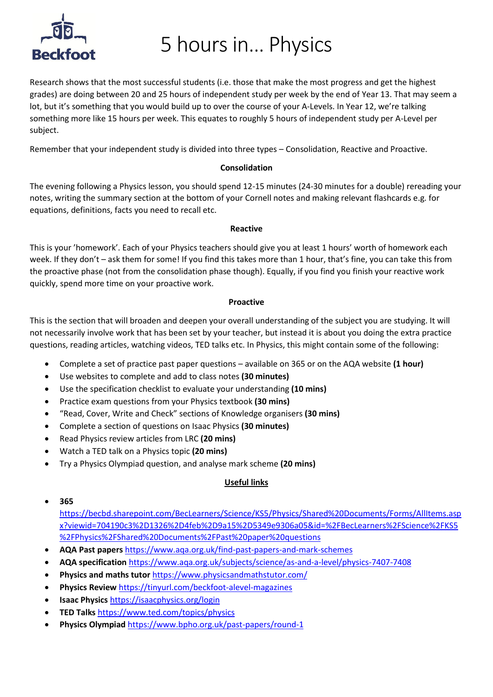

5 hours in… Physics

Research shows that the most successful students (i.e. those that make the most progress and get the highest grades) are doing between 20 and 25 hours of independent study per week by the end of Year 13. That may seem a lot, but it's something that you would build up to over the course of your A-Levels. In Year 12, we're talking something more like 15 hours per week. This equates to roughly 5 hours of independent study per A-Level per subject.

Remember that your independent study is divided into three types – Consolidation, Reactive and Proactive.

### **Consolidation**

The evening following a Physics lesson, you should spend 12-15 minutes (24-30 minutes for a double) rereading your notes, writing the summary section at the bottom of your Cornell notes and making relevant flashcards e.g. for equations, definitions, facts you need to recall etc.

### **Reactive**

This is your 'homework'. Each of your Physics teachers should give you at least 1 hours' worth of homework each week. If they don't – ask them for some! If you find this takes more than 1 hour, that's fine, you can take this from the proactive phase (not from the consolidation phase though). Equally, if you find you finish your reactive work quickly, spend more time on your proactive work.

### **Proactive**

This is the section that will broaden and deepen your overall understanding of the subject you are studying. It will not necessarily involve work that has been set by your teacher, but instead it is about you doing the extra practice questions, reading articles, watching videos, TED talks etc. In Physics, this might contain some of the following:

- Complete a set of practice past paper questions available on 365 or on the AQA website **(1 hour)**
- Use websites to complete and add to class notes **(30 minutes)**
- Use the specification checklist to evaluate your understanding **(10 mins)**
- Practice exam questions from your Physics textbook **(30 mins)**
- "Read, Cover, Write and Check" sections of Knowledge organisers **(30 mins)**
- Complete a section of questions on Isaac Physics **(30 minutes)**
- Read Physics review articles from LRC **(20 mins)**
- Watch a TED talk on a Physics topic **(20 mins)**
- Try a Physics Olympiad question, and analyse mark scheme **(20 mins)**

### **Useful links**

• **365**

[https://becbd.sharepoint.com/BecLearners/Science/KS5/Physics/Shared%20Documents/Forms/AllItems.asp](https://becbd.sharepoint.com/BecLearners/Science/KS5/Physics/Shared%20Documents/Forms/AllItems.aspx?viewid=704190c3%2D1326%2D4feb%2D9a15%2D5349e9306a05&id=%2FBecLearners%2FScience%2FKS5%2FPhysics%2FShared%20Documents%2FPast%20paper%20questions) [x?viewid=704190c3%2D1326%2D4feb%2D9a15%2D5349e9306a05&id=%2FBecLearners%2FScience%2FKS5](https://becbd.sharepoint.com/BecLearners/Science/KS5/Physics/Shared%20Documents/Forms/AllItems.aspx?viewid=704190c3%2D1326%2D4feb%2D9a15%2D5349e9306a05&id=%2FBecLearners%2FScience%2FKS5%2FPhysics%2FShared%20Documents%2FPast%20paper%20questions) [%2FPhysics%2FShared%20Documents%2FPast%20paper%20questions](https://becbd.sharepoint.com/BecLearners/Science/KS5/Physics/Shared%20Documents/Forms/AllItems.aspx?viewid=704190c3%2D1326%2D4feb%2D9a15%2D5349e9306a05&id=%2FBecLearners%2FScience%2FKS5%2FPhysics%2FShared%20Documents%2FPast%20paper%20questions)

- **AQA Past papers** <https://www.aqa.org.uk/find-past-papers-and-mark-schemes>
- **AQA specification** <https://www.aqa.org.uk/subjects/science/as-and-a-level/physics-7407-7408>
- **Physics and maths tutor** <https://www.physicsandmathstutor.com/>
- **Physics Review** <https://tinyurl.com/beckfoot-alevel-magazines>
- **Isaac Physics** <https://isaacphysics.org/login>
- **TED Talks** <https://www.ted.com/topics/physics>
- **Physics Olympiad** <https://www.bpho.org.uk/past-papers/round-1>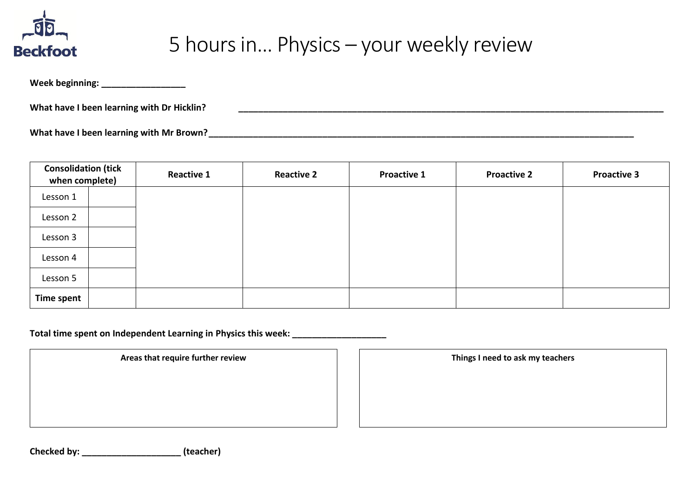

## 5 hours in… Physics – your weekly review

Week beginning:

**What have I been learning with Dr Hicklin? \_\_\_\_\_\_\_\_\_\_\_\_\_\_\_\_\_\_\_\_\_\_\_\_\_\_\_\_\_\_\_\_\_\_\_\_\_\_\_\_\_\_\_\_\_\_\_\_\_\_\_\_\_\_\_\_\_\_\_\_\_\_\_\_\_\_\_\_\_\_\_\_\_\_\_\_\_\_\_\_\_\_\_\_\_\_**

**What have I been learning with Mr Brown?\_\_\_\_\_\_\_\_\_\_\_\_\_\_\_\_\_\_\_\_\_\_\_\_\_\_\_\_\_\_\_\_\_\_\_\_\_\_\_\_\_\_\_\_\_\_\_\_\_\_\_\_\_\_\_\_\_\_\_\_\_\_\_\_\_\_\_\_\_\_\_\_\_\_\_\_\_\_\_\_\_\_\_\_\_\_**

| <b>Consolidation (tick</b><br>when complete) |  | <b>Reactive 1</b> | <b>Reactive 2</b> | <b>Proactive 1</b> | <b>Proactive 2</b> | <b>Proactive 3</b> |
|----------------------------------------------|--|-------------------|-------------------|--------------------|--------------------|--------------------|
| Lesson 1                                     |  |                   |                   |                    |                    |                    |
| Lesson 2                                     |  |                   |                   |                    |                    |                    |
| Lesson 3                                     |  |                   |                   |                    |                    |                    |
| Lesson 4                                     |  |                   |                   |                    |                    |                    |
| Lesson 5                                     |  |                   |                   |                    |                    |                    |
| <b>Time spent</b>                            |  |                   |                   |                    |                    |                    |

**Total time spent on Independent Learning in Physics this week: \_\_\_\_\_\_\_\_\_\_\_\_\_\_\_\_\_\_\_**

Areas that require further review **Things I need to ask my teachers** 

**Checked by: \_\_\_\_\_\_\_\_\_\_\_\_\_\_\_\_\_\_\_\_ (teacher)**